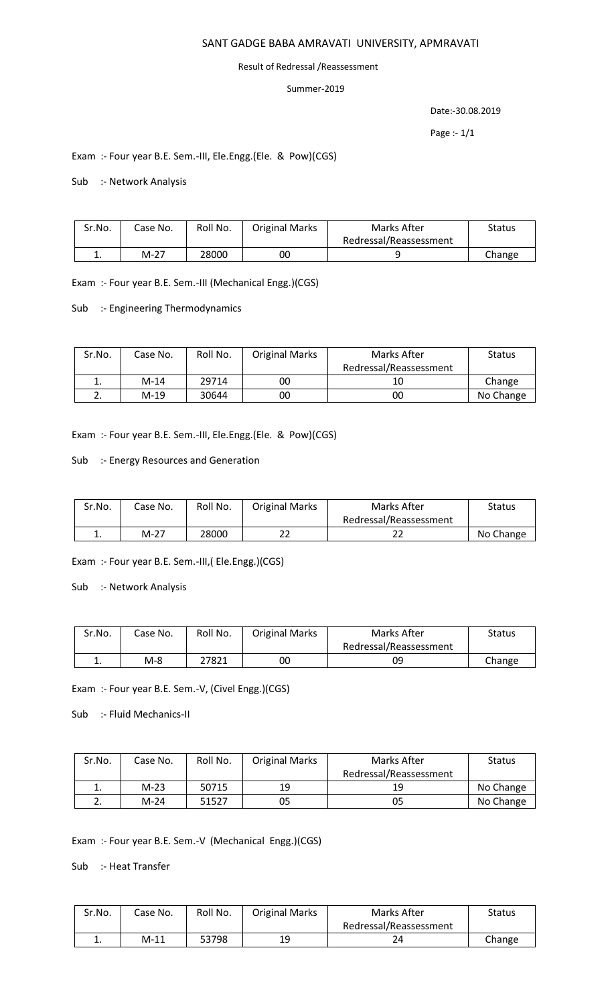### SANT GADGE BABA AMRAVATI UNIVERSITY, APMRAVATI

#### Result of Redressal /Reassessment

#### Summer-2019

Date:-30.08.2019

Page :- 1/1

### Exam :- Four year B.E. Sem.-III, Ele.Engg.(Ele. & Pow)(CGS)

### Sub :- Network Analysis

| Sr.No. | Case No. | Roll No. | <b>Original Marks</b> | Marks After            | Status |
|--------|----------|----------|-----------------------|------------------------|--------|
|        |          |          |                       | Redressal/Reassessment |        |
| . .    | M-27     | 28000    | 00                    |                        | Change |

Exam :- Four year B.E. Sem.-III (Mechanical Engg.)(CGS)

Sub :- Engineering Thermodynamics

| Sr.No. | Case No. | Roll No. | <b>Original Marks</b> | Marks After            | <b>Status</b> |
|--------|----------|----------|-----------------------|------------------------|---------------|
|        |          |          |                       | Redressal/Reassessment |               |
| ∸.     | $M-14$   | 29714    | 00                    | 10                     | Change        |
|        | M-19     | 30644    | 00                    | 0C                     | No Change     |

Exam :- Four year B.E. Sem.-III, Ele.Engg.(Ele. & Pow)(CGS)

#### Sub :- Energy Resources and Generation

| Sr.No. | Case No. | Roll No. | <b>Original Marks</b> | Marks After            | <b>Status</b> |
|--------|----------|----------|-----------------------|------------------------|---------------|
|        |          |          |                       | Redressal/Reassessment |               |
| . .    | M-27     | 28000    | າາ                    |                        | No Change     |

Exam :- Four year B.E. Sem.-III,( Ele.Engg.)(CGS)

Sub :- Network Analysis

| Sr.No.   | Case No. | Roll No. | <b>Original Marks</b> | Marks After            | Status |
|----------|----------|----------|-----------------------|------------------------|--------|
|          |          |          |                       | Redressal/Reassessment |        |
| <b>.</b> | $M-8$    | 27821    | 00                    | 09                     | Change |

Exam :- Four year B.E. Sem.-V, (Civel Engg.)(CGS)

Sub :- Fluid Mechanics-II

| Sr.No. | Case No. | Roll No. | <b>Original Marks</b> | Marks After            | <b>Status</b> |
|--------|----------|----------|-----------------------|------------------------|---------------|
|        |          |          |                       | Redressal/Reassessment |               |
| ∸.     | M-23     | 50715    | 19                    | 19                     | No Change     |
|        | M-24     | 51527    | 05                    | 05                     | No Change     |

Exam :- Four year B.E. Sem.-V (Mechanical Engg.)(CGS)

Sub :- Heat Transfer

| Sr.No. | Case No. | Roll No. | <b>Original Marks</b> | Marks After            | Status |
|--------|----------|----------|-----------------------|------------------------|--------|
|        |          |          |                       | Redressal/Reassessment |        |
| . .    | $M-11$   | 53798    | 19                    | つん                     | Change |